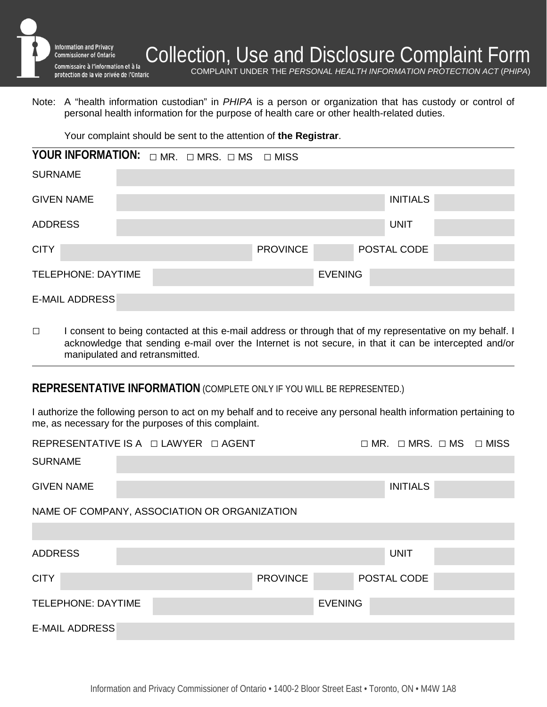

COMPLAINT UNDER THE *PERSONAL HEALTH INFORMATION PROTECTION ACT* (*PHIPA*)

Note: A "health information custodian" in *PHIPA* is a person or organization that has custody or control of personal health information for the purpose of health care or other health-related duties.

Your complaint should be sent to the attention of **the Registrar**.

| YOUR INFORMATION: $\Box$ MR. $\Box$ MRS. $\Box$ MS $\Box$ MISS |  |  |                |                 |  |                 |  |
|----------------------------------------------------------------|--|--|----------------|-----------------|--|-----------------|--|
| <b>SURNAME</b>                                                 |  |  |                |                 |  |                 |  |
| <b>GIVEN NAME</b>                                              |  |  |                |                 |  | <b>INITIALS</b> |  |
| <b>ADDRESS</b>                                                 |  |  |                |                 |  | <b>UNIT</b>     |  |
| <b>CITY</b>                                                    |  |  |                | <b>PROVINCE</b> |  | POSTAL CODE     |  |
| <b>TELEPHONE: DAYTIME</b>                                      |  |  | <b>EVENING</b> |                 |  |                 |  |
| <b>E-MAIL ADDRESS</b>                                          |  |  |                |                 |  |                 |  |

□ I consent to being contacted at this e-mail address or through that of my representative on my behalf. I acknowledge that sending e-mail over the Internet is not secure, in that it can be intercepted and/or manipulated and retransmitted.

#### **REPRESENTATIVE INFORMATION** (COMPLETE ONLY IF YOU WILL BE REPRESENTED.)

I authorize the following person to act on my behalf and to receive any personal health information pertaining to me, as necessary for the purposes of this complaint.

| REPRESENTATIVE IS A $\Box$ LAWYER $\Box$ AGENT |  |  |                 | $\Box$ MR. $\Box$ MRS. $\Box$ MS $\Box$ MISS |  |  |  |
|------------------------------------------------|--|--|-----------------|----------------------------------------------|--|--|--|
| <b>SURNAME</b>                                 |  |  |                 |                                              |  |  |  |
| <b>GIVEN NAME</b>                              |  |  |                 | <b>INITIALS</b>                              |  |  |  |
| NAME OF COMPANY, ASSOCIATION OR ORGANIZATION   |  |  |                 |                                              |  |  |  |
|                                                |  |  |                 |                                              |  |  |  |
| <b>ADDRESS</b>                                 |  |  |                 | <b>UNIT</b>                                  |  |  |  |
| <b>CITY</b>                                    |  |  | <b>PROVINCE</b> | POSTAL CODE                                  |  |  |  |
| <b>TELEPHONE: DAYTIME</b>                      |  |  | <b>EVENING</b>  |                                              |  |  |  |
| <b>E-MAIL ADDRESS</b>                          |  |  |                 |                                              |  |  |  |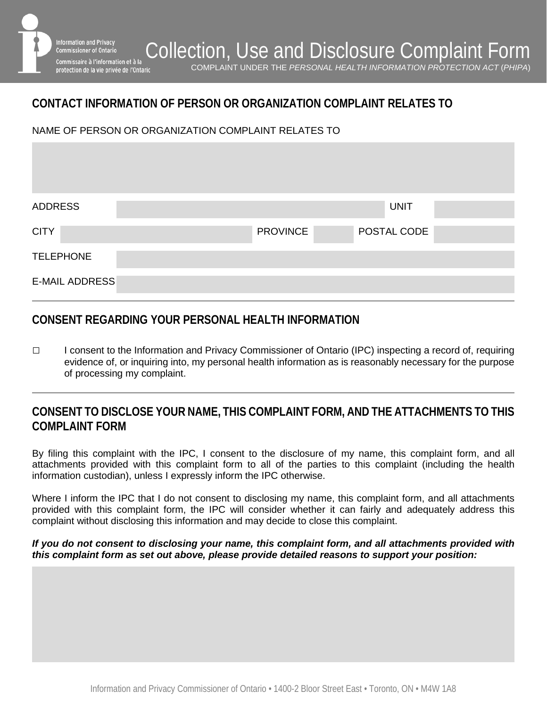**CONTACT INFORMATION OF PERSON OR ORGANIZATION COMPLAINT RELATES TO**

NAME OF PERSON OR ORGANIZATION COMPLAINT RELATES TO

formation and Privacy .............................<br>Commissioner of Ontario

| <b>ADDRESS</b>        |                 | <b>UNIT</b> |  |
|-----------------------|-----------------|-------------|--|
| <b>CITY</b>           | <b>PROVINCE</b> | POSTAL CODE |  |
| <b>TELEPHONE</b>      |                 |             |  |
| <b>E-MAIL ADDRESS</b> |                 |             |  |

## **CONSENT REGARDING YOUR PERSONAL HEALTH INFORMATION**

□ I consent to the Information and Privacy Commissioner of Ontario (IPC) inspecting a record of, requiring evidence of, or inquiring into, my personal health information as is reasonably necessary for the purpose of processing my complaint.

# **CONSENT TO DISCLOSE YOUR NAME, THIS COMPLAINT FORM, AND THE ATTACHMENTS TO THIS COMPLAINT FORM**

By filing this complaint with the IPC, I consent to the disclosure of my name, this complaint form, and all attachments provided with this complaint form to all of the parties to this complaint (including the health information custodian), unless I expressly inform the IPC otherwise.

Where I inform the IPC that I do not consent to disclosing my name, this complaint form, and all attachments provided with this complaint form, the IPC will consider whether it can fairly and adequately address this complaint without disclosing this information and may decide to close this complaint.

#### *If you do not consent to disclosing your name, this complaint form, and all attachments provided with this complaint form as set out above, please provide detailed reasons to support your position:*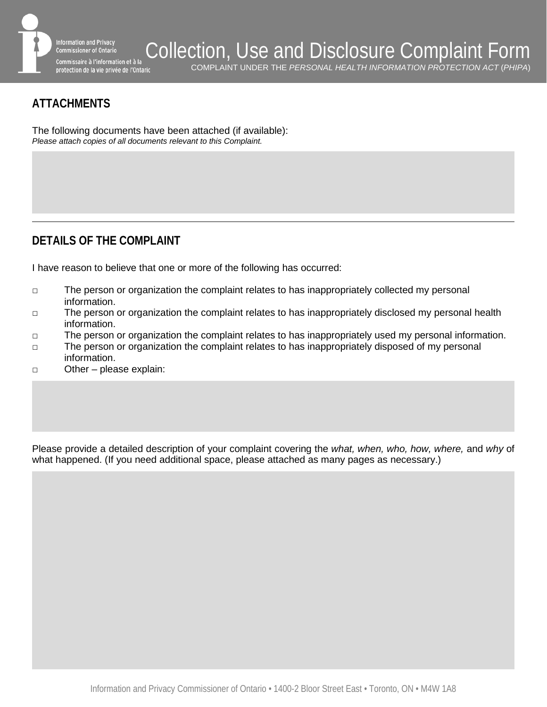

# **ATTACHMENTS**

The following documents have been attached (if available): *Please attach copies of all documents relevant to this Complaint.*

# **DETAILS OF THE COMPLAINT**

I have reason to believe that one or more of the following has occurred:

- □ The person or organization the complaint relates to has inappropriately collected my personal information.
- □ The person or organization the complaint relates to has inappropriately disclosed my personal health information.
- □ The person or organization the complaint relates to has inappropriately used my personal information.
- □ The person or organization the complaint relates to has inappropriately disposed of my personal information.
- □ Other please explain:

Please provide a detailed description of your complaint covering the *what, when, who, how, where,* and *why* of what happened. (If you need additional space, please attached as many pages as necessary.)